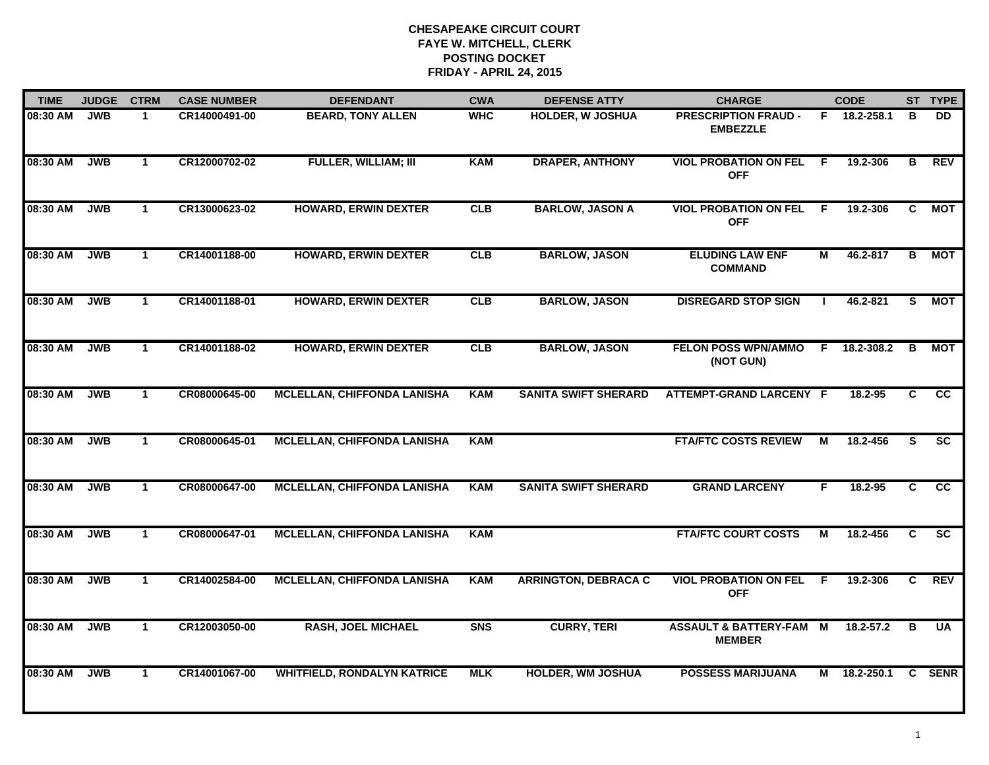| <b>TIME</b> | <b>JUDGE</b> | <b>CTRM</b>  | <b>CASE NUMBER</b> | <b>DEFENDANT</b>                   | <b>CWA</b> | <b>DEFENSE ATTY</b>         | <b>CHARGE</b>                                     | <b>CODE</b> |              |    | ST TYPE    |
|-------------|--------------|--------------|--------------------|------------------------------------|------------|-----------------------------|---------------------------------------------------|-------------|--------------|----|------------|
| 08:30 AM    | <b>JWB</b>   | 1            | CR14000491-00      | <b>BEARD, TONY ALLEN</b>           | <b>WHC</b> | <b>HOLDER, W JOSHUA</b>     | <b>PRESCRIPTION FRAUD -</b><br><b>EMBEZZLE</b>    |             | F 18.2-258.1 | в  | DD.        |
| 08:30 AM    | <b>JWB</b>   | $\mathbf{1}$ | CR12000702-02      | <b>FULLER, WILLIAM; III</b>        | <b>KAM</b> | <b>DRAPER, ANTHONY</b>      | <b>VIOL PROBATION ON FEL</b><br><b>OFF</b>        | F.          | 19.2-306     | В  | <b>REV</b> |
| 08:30 AM    | <b>JWB</b>   | $\mathbf{1}$ | CR13000623-02      | <b>HOWARD, ERWIN DEXTER</b>        | CLB        | <b>BARLOW, JASON A</b>      | <b>VIOL PROBATION ON FEL</b><br><b>OFF</b>        | F.          | 19.2-306     | C. | МОТ        |
| 08:30 AM    | <b>JWB</b>   | $\mathbf 1$  | CR14001188-00      | <b>HOWARD, ERWIN DEXTER</b>        | CLB        | <b>BARLOW, JASON</b>        | <b>ELUDING LAW ENF</b><br><b>COMMAND</b>          | М           | 46.2-817     | В  | МОТ        |
| 08:30 AM    | <b>JWB</b>   | $\mathbf{1}$ | CR14001188-01      | <b>HOWARD, ERWIN DEXTER</b>        | CLB        | <b>BARLOW, JASON</b>        | <b>DISREGARD STOP SIGN</b>                        |             | $46.2 - 821$ | S. | <b>MOT</b> |
| 08:30 AM    | <b>JWB</b>   | $\mathbf{1}$ | CR14001188-02      | <b>HOWARD, ERWIN DEXTER</b>        | <b>CLB</b> | <b>BARLOW, JASON</b>        | <b>FELON POSS WPN/AMMO</b><br>(NOT GUN)           | F.          | 18.2-308.2   | В  | МОТ        |
| 08:30 AM    | <b>JWB</b>   | $\mathbf{1}$ | CR08000645-00      | <b>MCLELLAN, CHIFFONDA LANISHA</b> | <b>KAM</b> | <b>SANITA SWIFT SHERARD</b> | <b>ATTEMPT-GRAND LARCENY F</b>                    |             | 18.2-95      | C  | cc         |
| 08:30 AM    | <b>JWB</b>   | $\mathbf{1}$ | CR08000645-01      | <b>MCLELLAN, CHIFFONDA LANISHA</b> | <b>KAM</b> |                             | <b>FTA/FTC COSTS REVIEW</b>                       | м           | 18.2-456     | S. | <b>SC</b>  |
| 08:30 AM    | <b>JWB</b>   | $\mathbf 1$  | CR08000647-00      | <b>MCLELLAN, CHIFFONDA LANISHA</b> | <b>KAM</b> | <b>SANITA SWIFT SHERARD</b> | <b>GRAND LARCENY</b>                              | F           | $18.2 - 95$  | C. | <b>CC</b>  |
| 08:30 AM    | <b>JWB</b>   | $\mathbf{1}$ | CR08000647-01      | <b>MCLELLAN, CHIFFONDA LANISHA</b> | <b>KAM</b> |                             | <b>FTA/FTC COURT COSTS</b>                        | М           | 18.2-456     | C  | <b>SC</b>  |
| 08:30 AM    | <b>JWB</b>   | $\mathbf{1}$ | CR14002584-00      | <b>MCLELLAN, CHIFFONDA LANISHA</b> | <b>KAM</b> | <b>ARRINGTON, DEBRACA C</b> | <b>VIOL PROBATION ON FEL</b><br><b>OFF</b>        | F.          | 19.2-306     | C  | <b>REV</b> |
| 08:30 AM    | <b>JWB</b>   | $\mathbf{1}$ | CR12003050-00      | <b>RASH, JOEL MICHAEL</b>          | <b>SNS</b> | <b>CURRY, TERI</b>          | <b>ASSAULT &amp; BATTERY-FAM</b><br><b>MEMBER</b> | М           | 18.2-57.2    | В  | <b>UA</b>  |
| 08:30 AM    | <b>JWB</b>   | $\mathbf{1}$ | CR14001067-00      | <b>WHITFIELD, RONDALYN KATRICE</b> | <b>MLK</b> | <b>HOLDER, WM JOSHUA</b>    | <b>POSSESS MARIJUANA</b>                          |             | M 18.2-250.1 |    | C SENR     |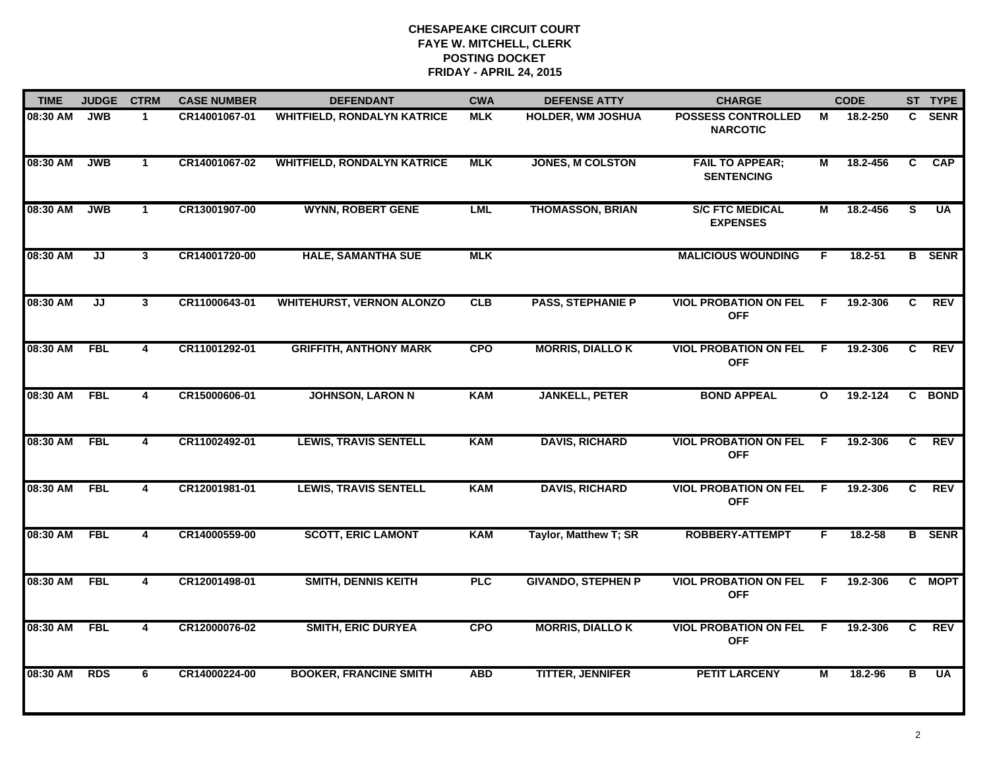| <b>TIME</b> | <b>JUDGE</b> | <b>CTRM</b>             | <b>CASE NUMBER</b> | <b>DEFENDANT</b>                   | <b>CWA</b><br><b>DEFENSE ATTY</b> |                           | <b>CHARGE</b>                                |              | <b>CODE</b> |                | ST TYPE       |
|-------------|--------------|-------------------------|--------------------|------------------------------------|-----------------------------------|---------------------------|----------------------------------------------|--------------|-------------|----------------|---------------|
| 08:30 AM    | <b>JWB</b>   | $\mathbf{1}$            | CR14001067-01      | <b>WHITFIELD, RONDALYN KATRICE</b> | <b>MLK</b>                        | <b>HOLDER, WM JOSHUA</b>  | <b>POSSESS CONTROLLED</b><br><b>NARCOTIC</b> | М            | 18.2-250    | $\mathbf{C}$   | <b>SENR</b>   |
| 08:30 AM    | <b>JWB</b>   | $\mathbf{1}$            | CR14001067-02      | <b>WHITFIELD, RONDALYN KATRICE</b> | <b>MLK</b>                        | <b>JONES, M COLSTON</b>   | <b>FAIL TO APPEAR;</b><br><b>SENTENCING</b>  | М            | 18.2-456    | C              | <b>CAP</b>    |
| 08:30 AM    | <b>JWB</b>   | $\mathbf{1}$            | CR13001907-00      | <b>WYNN, ROBERT GENE</b>           | <b>LML</b>                        | <b>THOMASSON, BRIAN</b>   | <b>S/C FTC MEDICAL</b><br><b>EXPENSES</b>    | М            | 18.2-456    | $\overline{s}$ | <b>UA</b>     |
| 08:30 AM    | JJ           | $\mathbf{3}$            | CR14001720-00      | <b>HALE, SAMANTHA SUE</b>          | <b>MLK</b>                        |                           | <b>MALICIOUS WOUNDING</b>                    | F.           | 18.2-51     |                | <b>B</b> SENR |
| 08:30 AM    | JJ           | $\mathbf{3}$            | CR11000643-01      | <b>WHITEHURST, VERNON ALONZO</b>   | CLB                               | <b>PASS, STEPHANIE P</b>  | <b>VIOL PROBATION ON FEL</b><br><b>OFF</b>   | F.           | 19.2-306    | C              | <b>REV</b>    |
| 08:30 AM    | <b>FBL</b>   | 4                       | CR11001292-01      | <b>GRIFFITH, ANTHONY MARK</b>      | <b>CPO</b>                        | <b>MORRIS, DIALLO K</b>   | <b>VIOL PROBATION ON FEL</b><br><b>OFF</b>   | -F           | 19.2-306    | C              | <b>REV</b>    |
| 08:30 AM    | <b>FBL</b>   | $\overline{\mathbf{4}}$ | CR15000606-01      | <b>JOHNSON, LARON N</b>            | <b>KAM</b>                        | <b>JANKELL, PETER</b>     | <b>BOND APPEAL</b>                           | $\mathbf{o}$ | 19.2-124    |                | C BOND        |
| 08:30 AM    | <b>FBL</b>   | 4                       | CR11002492-01      | <b>LEWIS, TRAVIS SENTELL</b>       | <b>KAM</b>                        | <b>DAVIS, RICHARD</b>     | <b>VIOL PROBATION ON FEL</b><br><b>OFF</b>   | F            | 19.2-306    | C              | <b>REV</b>    |
| 08:30 AM    | <b>FBL</b>   | 4                       | CR12001981-01      | <b>LEWIS, TRAVIS SENTELL</b>       | <b>KAM</b>                        | <b>DAVIS, RICHARD</b>     | <b>VIOL PROBATION ON FEL</b><br><b>OFF</b>   | F.           | 19.2-306    | C.             | <b>REV</b>    |
| 08:30 AM    | <b>FBL</b>   | 4                       | CR14000559-00      | <b>SCOTT, ERIC LAMONT</b>          | <b>KAM</b>                        | Taylor, Matthew T; SR     | <b>ROBBERY-ATTEMPT</b>                       | F.           | $18.2 - 58$ |                | <b>B</b> SENR |
| 08:30 AM    | <b>FBL</b>   | $\overline{4}$          | CR12001498-01      | <b>SMITH, DENNIS KEITH</b>         | <b>PLC</b>                        | <b>GIVANDO, STEPHEN P</b> | <b>VIOL PROBATION ON FEL</b><br><b>OFF</b>   | -F           | 19.2-306    |                | C MOPT        |
| 08:30 AM    | <b>FBL</b>   | 4                       | CR12000076-02      | <b>SMITH, ERIC DURYEA</b>          | <b>CPO</b>                        | <b>MORRIS, DIALLO K</b>   | <b>VIOL PROBATION ON FEL</b><br><b>OFF</b>   | -F           | 19.2-306    | C              | <b>REV</b>    |
| 08:30 AM    | <b>RDS</b>   | 6                       | CR14000224-00      | <b>BOOKER, FRANCINE SMITH</b>      | <b>ABD</b>                        | <b>TITTER, JENNIFER</b>   | <b>PETIT LARCENY</b>                         | М            | 18.2-96     | B              | <b>UA</b>     |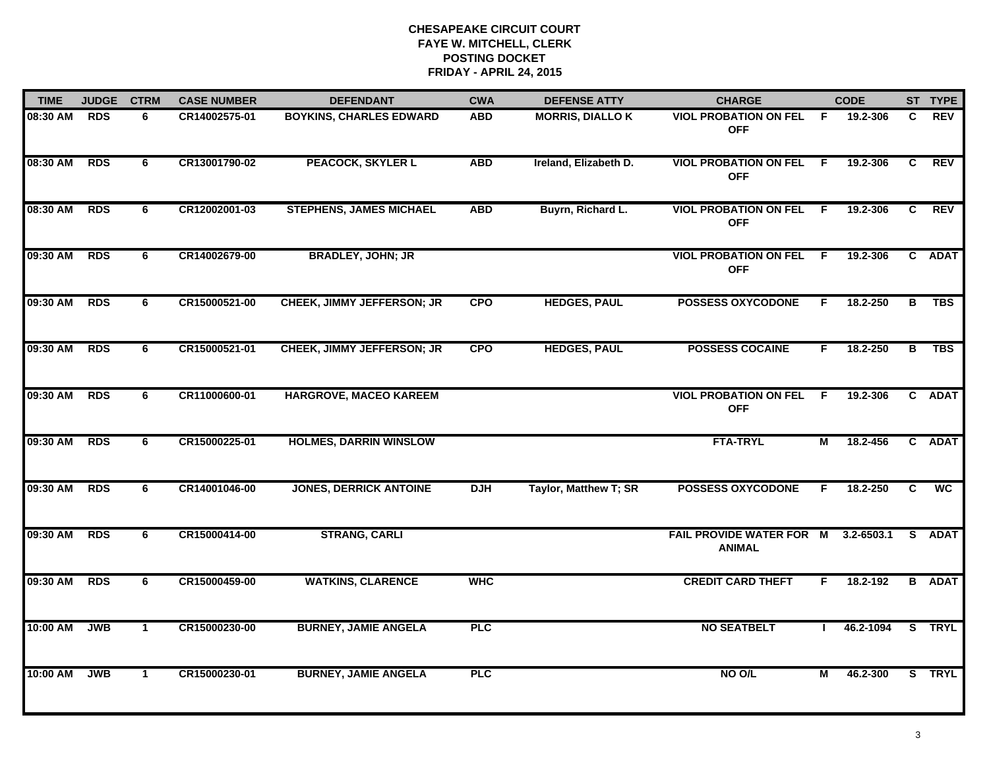| <b>TIME</b> | <b>JUDGE</b> | <b>CTRM</b>  | <b>CASE NUMBER</b> | <b>DEFENDANT</b>                  | <b>CWA</b> | <b>DEFENSE ATTY</b>     | <b>CHARGE</b>                                    | <b>CODE</b> |                |   | ST TYPE       |
|-------------|--------------|--------------|--------------------|-----------------------------------|------------|-------------------------|--------------------------------------------------|-------------|----------------|---|---------------|
| 08:30 AM    | <b>RDS</b>   | 6            | CR14002575-01      | <b>BOYKINS, CHARLES EDWARD</b>    | <b>ABD</b> | <b>MORRIS, DIALLO K</b> | <b>VIOL PROBATION ON FEL</b><br><b>OFF</b>       | F.          | 19.2-306       | C | <b>REV</b>    |
| 08:30 AM    | <b>RDS</b>   | 6            | CR13001790-02      | <b>PEACOCK, SKYLER L</b>          | <b>ABD</b> | Ireland, Elizabeth D.   | <b>VIOL PROBATION ON FEL</b><br><b>OFF</b>       | - F         | 19.2-306       | C | <b>REV</b>    |
| 08:30 AM    | <b>RDS</b>   | 6            | CR12002001-03      | <b>STEPHENS, JAMES MICHAEL</b>    | <b>ABD</b> | Buyrn, Richard L.       | <b>VIOL PROBATION ON FEL</b><br><b>OFF</b>       | -F          | 19.2-306       | C | <b>REV</b>    |
| 09:30 AM    | <b>RDS</b>   | 6            | CR14002679-00      | <b>BRADLEY, JOHN; JR</b>          |            |                         | <b>VIOL PROBATION ON FEL</b><br><b>OFF</b>       | -F          | 19.2-306       |   | C ADAT        |
| 09:30 AM    | <b>RDS</b>   | 6            | CR15000521-00      | <b>CHEEK, JIMMY JEFFERSON; JR</b> | <b>CPO</b> | <b>HEDGES, PAUL</b>     | <b>POSSESS OXYCODONE</b>                         | F.          | 18.2-250       | в | <b>TBS</b>    |
| 09:30 AM    | <b>RDS</b>   | 6            | CR15000521-01      | <b>CHEEK, JIMMY JEFFERSON; JR</b> | <b>CPO</b> | <b>HEDGES, PAUL</b>     | <b>POSSESS COCAINE</b>                           | F.          | 18.2-250       | B | <b>TBS</b>    |
| 09:30 AM    | <b>RDS</b>   | 6            | CR11000600-01      | <b>HARGROVE, MACEO KAREEM</b>     |            |                         | <b>VIOL PROBATION ON FEL</b><br><b>OFF</b>       | F.          | 19.2-306       | C | <b>ADAT</b>   |
| 09:30 AM    | <b>RDS</b>   | 6            | CR15000225-01      | <b>HOLMES, DARRIN WINSLOW</b>     |            |                         | <b>FTA-TRYL</b>                                  | М           | 18.2-456       |   | C ADAT        |
| 09:30 AM    | <b>RDS</b>   | 6            | CR14001046-00      | <b>JONES, DERRICK ANTOINE</b>     | <b>DJH</b> | Taylor, Matthew T; SR   | <b>POSSESS OXYCODONE</b>                         | F.          | 18.2-250       | C | <b>WC</b>     |
| 09:30 AM    | <b>RDS</b>   | 6            | CR15000414-00      | <b>STRANG, CARLI</b>              |            |                         | <b>FAIL PROVIDE WATER FOR M</b><br><b>ANIMAL</b> |             | $3.2 - 6503.1$ |   | S ADAT        |
| 09:30 AM    | <b>RDS</b>   | 6            | CR15000459-00      | <b>WATKINS, CLARENCE</b>          | <b>WHC</b> |                         | <b>CREDIT CARD THEFT</b>                         | F.          | 18.2-192       |   | <b>B</b> ADAT |
| 10:00 AM    | <b>JWB</b>   | $\mathbf{1}$ | CR15000230-00      | <b>BURNEY, JAMIE ANGELA</b>       | <b>PLC</b> |                         | <b>NO SEATBELT</b>                               |             | 46.2-1094      |   | S TRYL        |
| 10:00 AM    | <b>JWB</b>   | $\mathbf{1}$ | CR15000230-01      | <b>BURNEY, JAMIE ANGELA</b>       | PLC        |                         | NO O/L                                           | М           | 46.2-300       |   | S TRYL        |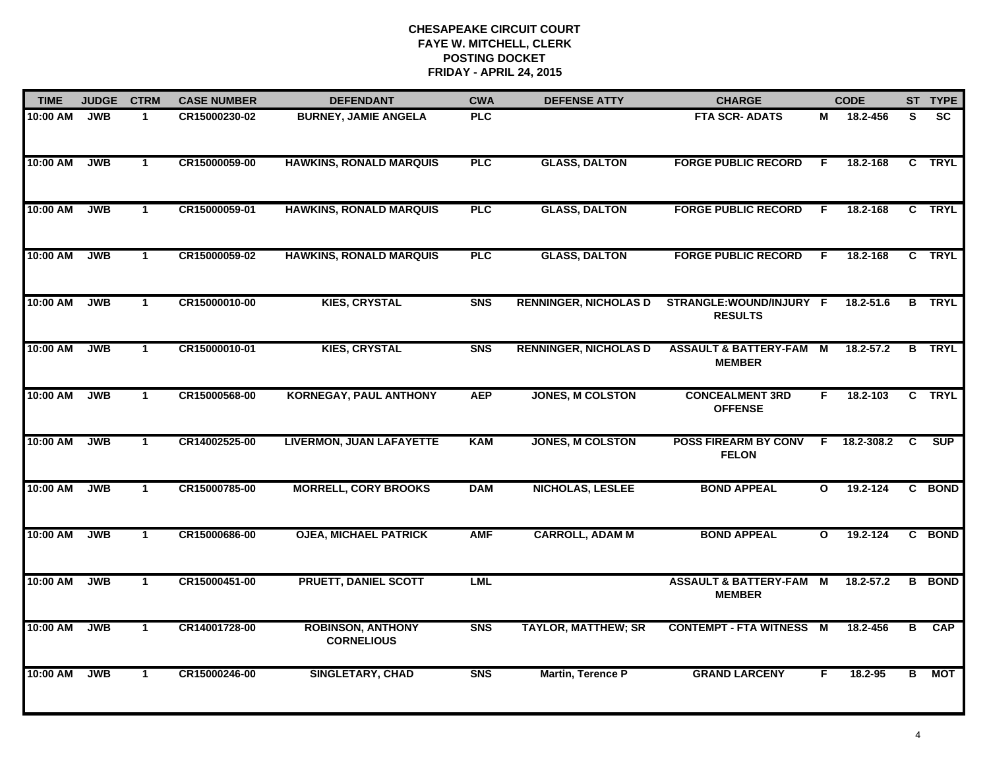| <b>TIME</b> | <b>JUDGE</b> | <b>CTRM</b>          | <b>CASE NUMBER</b> | <b>DEFENDANT</b>                              | <b>CWA</b> | <b>DEFENSE ATTY</b>          | <b>CHARGE</b>                                       |              | <b>CODE</b>   |    | ST TYPE       |
|-------------|--------------|----------------------|--------------------|-----------------------------------------------|------------|------------------------------|-----------------------------------------------------|--------------|---------------|----|---------------|
| 10:00 AM    | <b>JWB</b>   | $\mathbf 1$          | CR15000230-02      | <b>BURNEY, JAMIE ANGELA</b>                   | <b>PLC</b> |                              | <b>FTA SCR-ADATS</b>                                | М            | 18.2-456      | S. | <b>SC</b>     |
| 10:00 AM    | <b>JWB</b>   | $\mathbf{1}$         | CR15000059-00      | <b>HAWKINS, RONALD MARQUIS</b>                | <b>PLC</b> | <b>GLASS, DALTON</b>         | <b>FORGE PUBLIC RECORD</b>                          | F            | 18.2-168      |    | C TRYL        |
| 10:00 AM    | <b>JWB</b>   | $\mathbf{1}$         | CR15000059-01      | <b>HAWKINS, RONALD MARQUIS</b>                | <b>PLC</b> | <b>GLASS, DALTON</b>         | <b>FORGE PUBLIC RECORD</b>                          | F            | 18.2-168      |    | C TRYL        |
| 10:00 AM    | <b>JWB</b>   | $\blacktriangleleft$ | CR15000059-02      | <b>HAWKINS, RONALD MARQUIS</b>                | PLC        | <b>GLASS, DALTON</b>         | <b>FORGE PUBLIC RECORD</b>                          | F.           | 18.2-168      |    | C TRYL        |
| 10:00 AM    | <b>JWB</b>   | $\mathbf{1}$         | CR15000010-00      | <b>KIES, CRYSTAL</b>                          | <b>SNS</b> | <b>RENNINGER, NICHOLAS D</b> | STRANGLE:WOUND/INJURY F<br><b>RESULTS</b>           |              | 18.2-51.6     |    | <b>B</b> TRYL |
| 10:00 AM    | <b>JWB</b>   | $\mathbf{1}$         | CR15000010-01      | <b>KIES, CRYSTAL</b>                          | <b>SNS</b> | <b>RENNINGER, NICHOLAS D</b> | <b>ASSAULT &amp; BATTERY-FAM M</b><br><b>MEMBER</b> |              | $18.2 - 57.2$ |    | <b>B</b> TRYL |
| 10:00 AM    | <b>JWB</b>   | $\mathbf{1}$         | CR15000568-00      | <b>KORNEGAY, PAUL ANTHONY</b>                 | <b>AEP</b> | <b>JONES, M COLSTON</b>      | <b>CONCEALMENT 3RD</b><br><b>OFFENSE</b>            | F.           | 18.2-103      | C  | <b>TRYL</b>   |
| 10:00 AM    | <b>JWB</b>   | $\mathbf{1}$         | CR14002525-00      | <b>LIVERMON, JUAN LAFAYETTE</b>               | <b>KAM</b> | <b>JONES, M COLSTON</b>      | <b>POSS FIREARM BY CONV</b><br><b>FELON</b>         | F            | 18.2-308.2    | C  | <b>SUP</b>    |
| 10:00 AM    | <b>JWB</b>   | $\mathbf 1$          | CR15000785-00      | <b>MORRELL, CORY BROOKS</b>                   | <b>DAM</b> | NICHOLAS, LESLEE             | <b>BOND APPEAL</b>                                  | $\mathbf{o}$ | 19.2-124      |    | C BOND        |
| 10:00 AM    | <b>JWB</b>   | $\mathbf{1}$         | CR15000686-00      | <b>OJEA, MICHAEL PATRICK</b>                  | <b>AMF</b> | <b>CARROLL, ADAM M</b>       | <b>BOND APPEAL</b>                                  | $\mathbf{o}$ | 19.2-124      |    | C BOND        |
| 10:00 AM    | <b>JWB</b>   | $\mathbf{1}$         | CR15000451-00      | PRUETT, DANIEL SCOTT                          | <b>LML</b> |                              | <b>ASSAULT &amp; BATTERY-FAM M</b><br><b>MEMBER</b> |              | $18.2 - 57.2$ | B  | <b>BOND</b>   |
| 10:00 AM    | <b>JWB</b>   | $\overline{1}$       | CR14001728-00      | <b>ROBINSON, ANTHONY</b><br><b>CORNELIOUS</b> | <b>SNS</b> | <b>TAYLOR, MATTHEW; SR</b>   | <b>CONTEMPT - FTA WITNESS</b>                       | M            | 18.2-456      | в  | <b>CAP</b>    |
| 10:00 AM    | <b>JWB</b>   | $\mathbf{1}$         | CR15000246-00      | <b>SINGLETARY, CHAD</b>                       | <b>SNS</b> | Martin, Terence P            | <b>GRAND LARCENY</b>                                | F            | 18.2-95       | B  | МОТ           |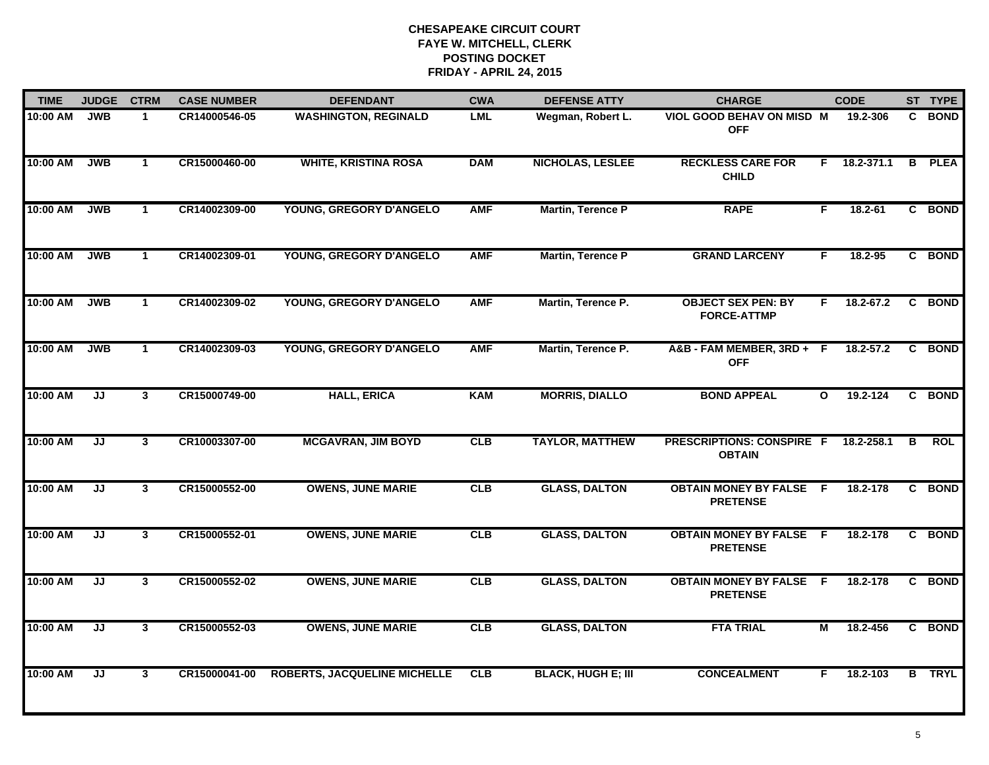| <b>TIME</b> | <b>JUDGE</b>                      | <b>CTRM</b>    | <b>CASE NUMBER</b> | <b>DEFENDANT</b>                    | <b>CWA</b> | <b>DEFENSE ATTY</b>       | <b>CHARGE</b>                                     |              | <b>CODE</b> |   | ST TYPE       |
|-------------|-----------------------------------|----------------|--------------------|-------------------------------------|------------|---------------------------|---------------------------------------------------|--------------|-------------|---|---------------|
| 10:00 AM    | <b>JWB</b>                        | $\mathbf 1$    | CR14000546-05      | <b>WASHINGTON, REGINALD</b>         | <b>LML</b> | Wegman, Robert L.         | VIOL GOOD BEHAV ON MISD M<br><b>OFF</b>           |              | 19.2-306    |   | C BOND        |
| 10:00 AM    | <b>JWB</b>                        | $\mathbf{1}$   | CR15000460-00      | <b>WHITE, KRISTINA ROSA</b>         | <b>DAM</b> | <b>NICHOLAS, LESLEE</b>   | <b>RECKLESS CARE FOR</b><br><b>CHILD</b>          | F.           | 18.2-371.1  | B | <b>PLEA</b>   |
| 10:00 AM    | <b>JWB</b>                        | $\mathbf{1}$   | CR14002309-00      | YOUNG, GREGORY D'ANGELO             | <b>AMF</b> | <b>Martin, Terence P</b>  | <b>RAPE</b>                                       | F            | $18.2 - 61$ |   | C BOND        |
| 10:00 AM    | <b>JWB</b>                        | $\mathbf{1}$   | CR14002309-01      | YOUNG, GREGORY D'ANGELO             | <b>AMF</b> | Martin, Terence P         | <b>GRAND LARCENY</b>                              | F            | 18.2-95     |   | C BOND        |
| 10:00 AM    | <b>JWB</b>                        | $\mathbf{1}$   | CR14002309-02      | YOUNG, GREGORY D'ANGELO             | <b>AMF</b> | Martin, Terence P.        | <b>OBJECT SEX PEN: BY</b><br><b>FORCE-ATTMP</b>   | F.           | 18.2-67.2   |   | C BOND        |
| 10:00 AM    | <b>JWB</b>                        | $\mathbf{1}$   | CR14002309-03      | YOUNG, GREGORY D'ANGELO             | <b>AMF</b> | Martin, Terence P.        | A&B-FAM MEMBER, 3RD+F<br><b>OFF</b>               |              | 18.2-57.2   | C | <b>BOND</b>   |
| 10:00 AM    | IJ                                | $\mathbf{3}$   | CR15000749-00      | <b>HALL, ERICA</b>                  | <b>KAM</b> | <b>MORRIS, DIALLO</b>     | <b>BOND APPEAL</b>                                | $\mathbf{o}$ | 19.2-124    | C | <b>BOND</b>   |
| 10:00 AM    | JJ                                | $\overline{3}$ | CR10003307-00      | <b>MCGAVRAN, JIM BOYD</b>           | CLB        | <b>TAYLOR, MATTHEW</b>    | <b>PRESCRIPTIONS: CONSPIRE F</b><br><b>OBTAIN</b> |              | 18.2-258.1  | В | <b>ROL</b>    |
| 10:00 AM    | JJ                                | $\mathbf{3}$   | CR15000552-00      | <b>OWENS, JUNE MARIE</b>            | CLB        | <b>GLASS, DALTON</b>      | <b>OBTAIN MONEY BY FALSE F</b><br><b>PRETENSE</b> |              | 18.2-178    |   | C BOND        |
| 10:00 AM    | JJ                                | $\overline{3}$ | CR15000552-01      | <b>OWENS, JUNE MARIE</b>            | CLB        | <b>GLASS, DALTON</b>      | <b>OBTAIN MONEY BY FALSE</b><br><b>PRETENSE</b>   | -F           | 18.2-178    |   | C BOND        |
| 10:00 AM    | JJ                                | $\mathbf{3}$   | CR15000552-02      | <b>OWENS, JUNE MARIE</b>            | CLB        | <b>GLASS, DALTON</b>      | <b>OBTAIN MONEY BY FALSE F</b><br><b>PRETENSE</b> |              | 18.2-178    |   | C BOND        |
| 10:00 AM    | $\overline{\mathsf{J}\mathsf{J}}$ | $\mathbf{3}$   | CR15000552-03      | <b>OWENS, JUNE MARIE</b>            | CLB        | <b>GLASS, DALTON</b>      | <b>FTA TRIAL</b>                                  | M            | 18.2-456    |   | C BOND        |
| 10:00 AM    | IJ                                | $\mathbf{3}$   | CR15000041-00      | <b>ROBERTS, JACQUELINE MICHELLE</b> | <b>CLB</b> | <b>BLACK, HUGH E; III</b> | <b>CONCEALMENT</b>                                | F            | 18.2-103    |   | <b>B</b> TRYL |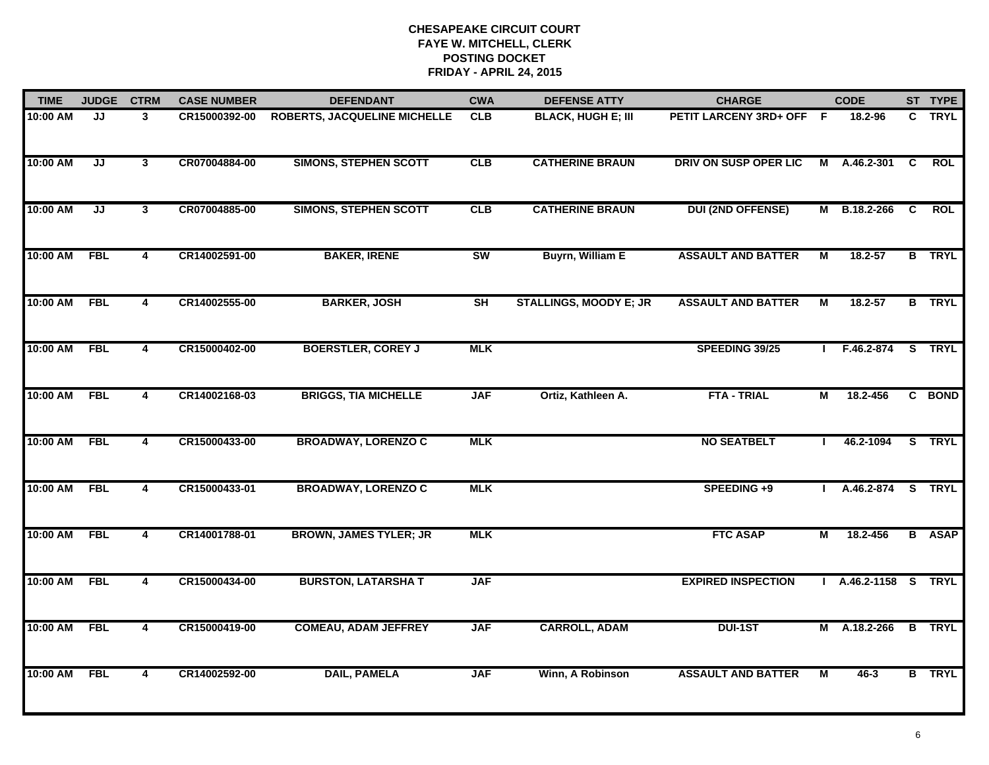| <b>TIME</b> | <b>JUDGE</b> | <b>CTRM</b>             | <b>CASE NUMBER</b> | <b>DEFENDANT</b>                    | <b>CWA</b> | <b>DEFENSE ATTY</b>           | <b>CHARGE</b>             | <b>CODE</b>    |                      |   | ST TYPE       |
|-------------|--------------|-------------------------|--------------------|-------------------------------------|------------|-------------------------------|---------------------------|----------------|----------------------|---|---------------|
| 10:00 AM    | JJ           | 3                       | CR15000392-00      | <b>ROBERTS, JACQUELINE MICHELLE</b> | <b>CLB</b> | <b>BLACK, HUGH E; III</b>     | PETIT LARCENY 3RD+ OFF F  |                | 18.2-96              |   | C TRYL        |
| 10:00 AM    | JJ           | $\mathbf{3}$            | CR07004884-00      | <b>SIMONS, STEPHEN SCOTT</b>        | <b>CLB</b> | <b>CATHERINE BRAUN</b>        | DRIV ON SUSP OPER LIC     | М              | A.46.2-301           | C | <b>ROL</b>    |
| 10:00 AM    | JJ           | $\mathbf{3}$            | CR07004885-00      | <b>SIMONS, STEPHEN SCOTT</b>        | <b>CLB</b> | <b>CATHERINE BRAUN</b>        | <b>DUI (2ND OFFENSE)</b>  |                | M B.18.2-266         | C | <b>ROL</b>    |
| 10:00 AM    | <b>FBL</b>   | 4                       | CR14002591-00      | <b>BAKER, IRENE</b>                 | SW         | <b>Buyrn, William E</b>       | <b>ASSAULT AND BATTER</b> | М              | $18.2 - 57$          |   | <b>B</b> TRYL |
| 10:00 AM    | <b>FBL</b>   | 4                       | CR14002555-00      | <b>BARKER, JOSH</b>                 | SH         | <b>STALLINGS, MOODY E; JR</b> | <b>ASSAULT AND BATTER</b> | М              | $18.2 - 57$          |   | <b>B</b> TRYL |
| 10:00 AM    | <b>FBL</b>   | 4                       | CR15000402-00      | <b>BOERSTLER, COREY J</b>           | <b>MLK</b> |                               | SPEEDING 39/25            |                | $I$ F.46.2-874       |   | S TRYL        |
| 10:00 AM    | <b>FBL</b>   | $\overline{\mathbf{4}}$ | CR14002168-03      | <b>BRIGGS, TIA MICHELLE</b>         | <b>JAF</b> | Ortiz, Kathleen A.            | <b>FTA - TRIAL</b>        | $\overline{M}$ | 18.2-456             |   | C BOND        |
| 10:00 AM    | <b>FBL</b>   | 4                       | CR15000433-00      | <b>BROADWAY, LORENZO C</b>          | <b>MLK</b> |                               | <b>NO SEATBELT</b>        | $\mathbf{I}$   | 46.2-1094            |   | S TRYL        |
| 10:00 AM    | <b>FBL</b>   | 4                       | CR15000433-01      | <b>BROADWAY, LORENZO C</b>          | <b>MLK</b> |                               | SPEEDING +9               |                | A.46.2-874           |   | S TRYL        |
| 10:00 AM    | <b>FBL</b>   | 4                       | CR14001788-01      | <b>BROWN, JAMES TYLER; JR</b>       | <b>MLK</b> |                               | <b>FTC ASAP</b>           | М              | 18.2-456             |   | <b>B</b> ASAP |
| 10:00 AM    | <b>FBL</b>   | 4                       | CR15000434-00      | <b>BURSTON, LATARSHA T</b>          | <b>JAF</b> |                               | <b>EXPIRED INSPECTION</b> |                | I A.46.2-1158 S TRYL |   |               |
| 10:00 AM    | <b>FBL</b>   | 4                       | CR15000419-00      | <b>COMEAU, ADAM JEFFREY</b>         | <b>JAF</b> | <b>CARROLL, ADAM</b>          | <b>DUI-1ST</b>            |                | M A.18.2-266         |   | <b>B</b> TRYL |
| 10:00 AM    | <b>FBL</b>   | 4                       | CR14002592-00      | <b>DAIL, PAMELA</b>                 | <b>JAF</b> | Winn, A Robinson              | <b>ASSAULT AND BATTER</b> | М              | 46-3                 |   | <b>B</b> TRYL |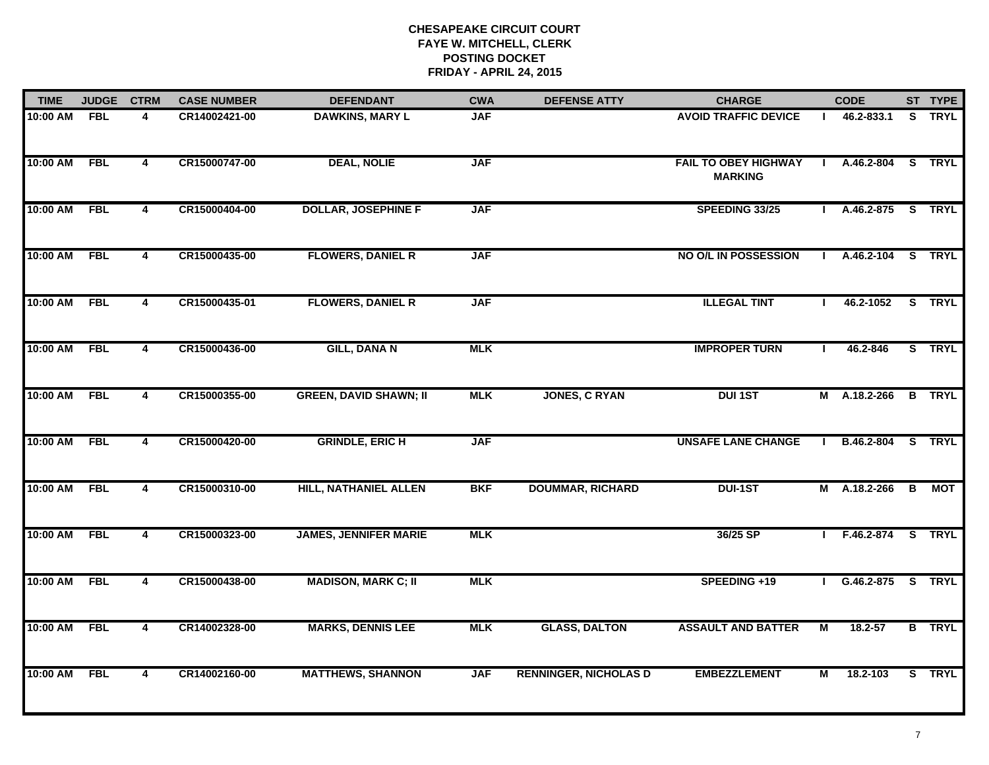| <b>TIME</b>  | <b>JUDGE</b> | <b>CTRM</b>             | <b>CASE NUMBER</b> | <b>DEFENDANT</b>              | <b>CWA</b> | <b>DEFENSE ATTY</b>          | <b>CHARGE</b>                                 |              | <b>CODE</b>       |              | ST TYPE       |
|--------------|--------------|-------------------------|--------------------|-------------------------------|------------|------------------------------|-----------------------------------------------|--------------|-------------------|--------------|---------------|
| 10:00 AM FBL |              | 4                       | CR14002421-00      | <b>DAWKINS, MARY L</b>        | <b>JAF</b> |                              | <b>AVOID TRAFFIC DEVICE</b>                   |              | 46.2-833.1        |              | S TRYL        |
| 10:00 AM     | FBL          | $\overline{\mathbf{4}}$ | CR15000747-00      | <b>DEAL, NOLIE</b>            | <b>JAF</b> |                              | <b>FAIL TO OBEY HIGHWAY</b><br><b>MARKING</b> | $\mathbf{I}$ | A.46.2-804 S TRYL |              |               |
| 10:00 AM     | <b>FBL</b>   | $\overline{\mathbf{4}}$ | CR15000404-00      | <b>DOLLAR, JOSEPHINE F</b>    | <b>JAF</b> |                              | SPEEDING 33/25                                |              | A.46.2-875 S TRYL |              |               |
| 10:00 AM     | <b>FBL</b>   | 4                       | CR15000435-00      | <b>FLOWERS, DANIEL R</b>      | <b>JAF</b> |                              | NO O/L IN POSSESSION                          |              | A.46.2-104 S TRYL |              |               |
| 10:00 AM     | <b>FBL</b>   | 4                       | CR15000435-01      | <b>FLOWERS, DANIEL R</b>      | <b>JAF</b> |                              | <b>ILLEGAL TINT</b>                           |              | 46.2-1052         |              | S TRYL        |
| 10:00 AM     | <b>FBL</b>   | 4                       | CR15000436-00      | <b>GILL, DANA N</b>           | <b>MLK</b> |                              | <b>IMPROPER TURN</b>                          |              | 46.2-846          |              | S TRYL        |
| 10:00 AM     | <b>FBL</b>   | $\overline{4}$          | CR15000355-00      | <b>GREEN, DAVID SHAWN; II</b> | <b>MLK</b> | <b>JONES, C RYAN</b>         | <b>DUI 1ST</b>                                |              | M A.18.2-266      |              | <b>B</b> TRYL |
| 10:00 AM     | <b>FBL</b>   | 4                       | CR15000420-00      | <b>GRINDLE, ERIC H</b>        | <b>JAF</b> |                              | <b>UNSAFE LANE CHANGE</b>                     | $\mathbf{I}$ | B.46.2-804        |              | S TRYL        |
| 10:00 AM     | FBL          | 4                       | CR15000310-00      | <b>HILL, NATHANIEL ALLEN</b>  | <b>BKF</b> | <b>DOUMMAR, RICHARD</b>      | <b>DUI-1ST</b>                                |              | M A.18.2-266      | $\mathbf{B}$ | МОТ           |
| 10:00 AM     | <b>FBL</b>   | 4                       | CR15000323-00      | <b>JAMES, JENNIFER MARIE</b>  | <b>MLK</b> |                              | 36/25 SP                                      |              | F.46.2-874 S TRYL |              |               |
| 10:00 AM     | <b>FBL</b>   | $\overline{4}$          | CR15000438-00      | <b>MADISON, MARK C; II</b>    | <b>MLK</b> |                              | SPEEDING +19                                  | $\mathbf{L}$ | G.46.2-875 S TRYL |              |               |
| 10:00 AM     | <b>FBL</b>   | $\overline{\mathbf{4}}$ | CR14002328-00      | <b>MARKS, DENNIS LEE</b>      | <b>MLK</b> | <b>GLASS, DALTON</b>         | <b>ASSAULT AND BATTER</b>                     | М            | 18.2-57           |              | <b>B</b> TRYL |
| 10:00 AM     | <b>FBL</b>   | 4                       | CR14002160-00      | <b>MATTHEWS, SHANNON</b>      | <b>JAF</b> | <b>RENNINGER, NICHOLAS D</b> | <b>EMBEZZLEMENT</b>                           | М            | 18.2-103          |              | S TRYL        |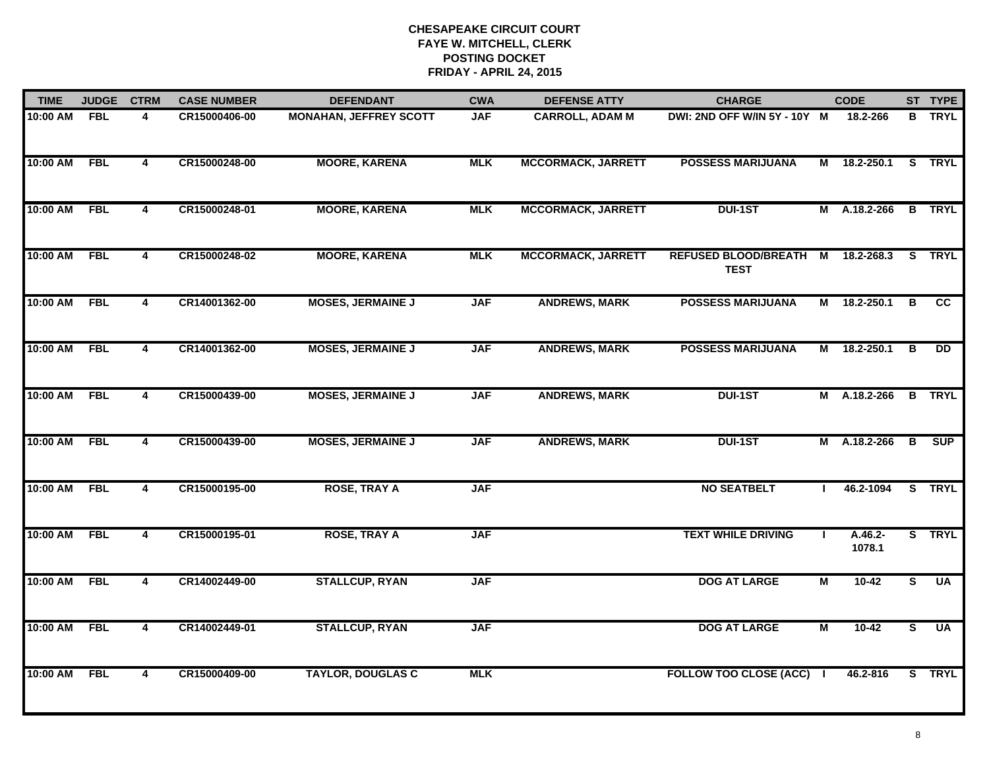| <b>TIME</b> | <b>JUDGE</b> | <b>CTRM</b>    | <b>CASE NUMBER</b> | <b>DEFENDANT</b>              | <b>CWA</b> | <b>DEFENSE ATTY</b>       | <b>CHARGE</b>                              | <b>CODE</b>    |                   |          | ST TYPE         |
|-------------|--------------|----------------|--------------------|-------------------------------|------------|---------------------------|--------------------------------------------|----------------|-------------------|----------|-----------------|
| 10:00 AM    | <b>FBL</b>   | 4              | CR15000406-00      | <b>MONAHAN, JEFFREY SCOTT</b> | <b>JAF</b> | <b>CARROLL, ADAM M</b>    | DWI: 2ND OFF W/IN 5Y - 10Y M               |                | 18.2-266          |          | <b>B</b> TRYL   |
| 10:00 AM    | <b>FBL</b>   | $\overline{4}$ | CR15000248-00      | <b>MOORE, KARENA</b>          | <b>MLK</b> | <b>MCCORMACK, JARRETT</b> | <b>POSSESS MARIJUANA</b>                   | М              | 18.2-250.1        |          | S TRYL          |
| 10:00 AM    | <b>FBL</b>   | 4              | CR15000248-01      | <b>MOORE, KARENA</b>          | <b>MLK</b> | <b>MCCORMACK, JARRETT</b> | <b>DUI-1ST</b>                             | M              | A.18.2-266        |          | <b>B</b> TRYL   |
| 10:00 AM    | <b>FBL</b>   | 4              | CR15000248-02      | <b>MOORE, KARENA</b>          | <b>MLK</b> | <b>MCCORMACK, JARRETT</b> | <b>REFUSED BLOOD/BREATH</b><br><b>TEST</b> | M              | 18.2-268.3        | <b>S</b> | <b>TRYL</b>     |
| 10:00 AM    | <b>FBL</b>   | 4              | CR14001362-00      | <b>MOSES, JERMAINE J</b>      | <b>JAF</b> | <b>ANDREWS, MARK</b>      | <b>POSSESS MARIJUANA</b>                   | М              | 18.2-250.1        | В        | <b>CC</b>       |
| 10:00 AM    | <b>FBL</b>   | 4              | CR14001362-00      | <b>MOSES, JERMAINE J</b>      | <b>JAF</b> | <b>ANDREWS, MARK</b>      | <b>POSSESS MARIJUANA</b>                   |                | M 18.2-250.1      | В        | $\overline{DD}$ |
| 10:00 AM    | <b>FBL</b>   | $\overline{4}$ | CR15000439-00      | <b>MOSES, JERMAINE J</b>      | <b>JAF</b> | <b>ANDREWS, MARK</b>      | <b>DUI-1ST</b>                             | $\overline{M}$ | A.18.2-266        |          | <b>B</b> TRYL   |
| 10:00 AM    | <b>FBL</b>   | $\overline{4}$ | CR15000439-00      | <b>MOSES, JERMAINE J</b>      | <b>JAF</b> | <b>ANDREWS, MARK</b>      | <b>DUI-1ST</b>                             |                | M A.18.2-266      | B        | SUP             |
| 10:00 AM    | <b>FBL</b>   | 4              | CR15000195-00      | <b>ROSE, TRAY A</b>           | <b>JAF</b> |                           | <b>NO SEATBELT</b>                         |                | 46.2-1094         |          | S TRYL          |
| 10:00 AM    | <b>FBL</b>   | 4              | CR15000195-01      | <b>ROSE, TRAY A</b>           | <b>JAF</b> |                           | <b>TEXT WHILE DRIVING</b>                  |                | A.46.2-<br>1078.1 |          | S TRYL          |
| 10:00 AM    | <b>FBL</b>   | $\overline{4}$ | CR14002449-00      | <b>STALLCUP, RYAN</b>         | <b>JAF</b> |                           | <b>DOG AT LARGE</b>                        | $\overline{M}$ | $10 - 42$         | S.       | <b>UA</b>       |
| 10:00 AM    | <b>FBL</b>   | $\overline{4}$ | CR14002449-01      | <b>STALLCUP, RYAN</b>         | <b>JAF</b> |                           | <b>DOG AT LARGE</b>                        | $\overline{M}$ | $10-42$           | s        | <b>UA</b>       |
| 10:00 AM    | <b>FBL</b>   | $\overline{4}$ | CR15000409-00      | <b>TAYLOR, DOUGLAS C</b>      | <b>MLK</b> |                           | FOLLOW TOO CLOSE (ACC) I                   |                | 46.2-816          |          | S TRYL          |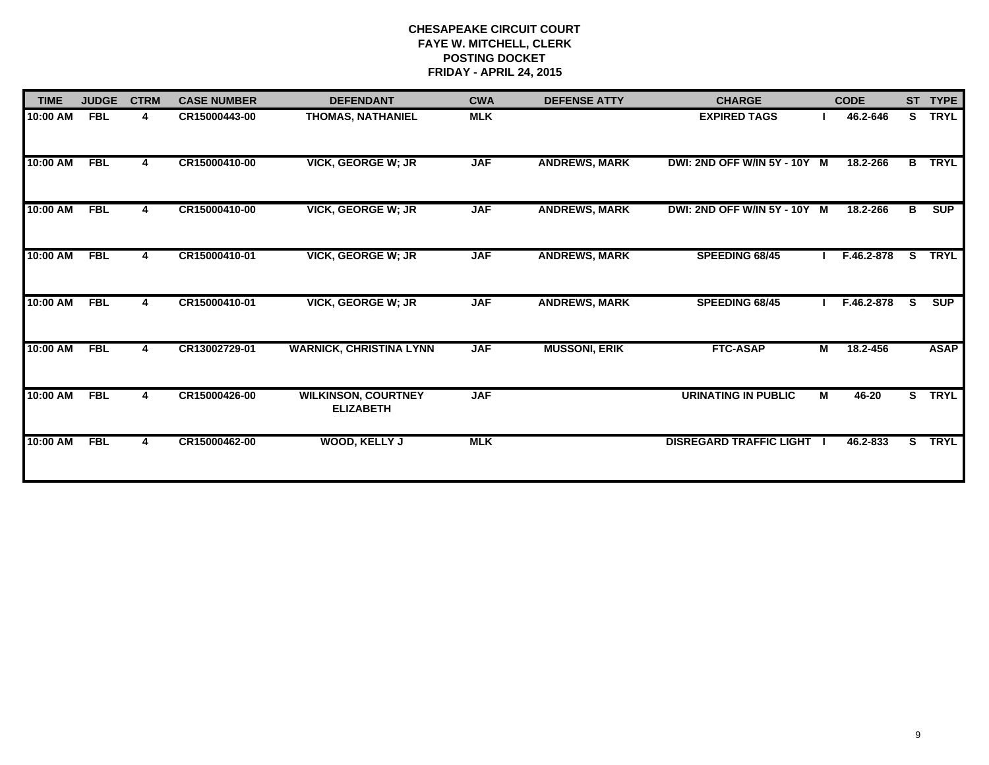| <b>TIME</b> | <b>JUDGE</b> | <b>CTRM</b> | <b>CASE NUMBER</b> | <b>DEFENDANT</b>                               | <b>CWA</b> | <b>DEFENSE ATTY</b>  | <b>CHARGE</b>                  |                         | <b>CODE</b> |                         | ST TYPE     |
|-------------|--------------|-------------|--------------------|------------------------------------------------|------------|----------------------|--------------------------------|-------------------------|-------------|-------------------------|-------------|
| 10:00 AM    | <b>FBL</b>   | 4           | CR15000443-00      | <b>THOMAS, NATHANIEL</b>                       | <b>MLK</b> |                      | <b>EXPIRED TAGS</b>            |                         | 46.2-646    | S.                      | <b>TRYL</b> |
| 10:00 AM    | <b>FBL</b>   | 4           | CR15000410-00      | <b>VICK, GEORGE W; JR</b>                      | <b>JAF</b> | <b>ANDREWS, MARK</b> | DWI: 2ND OFF W/IN 5Y - 10Y M   |                         | 18.2-266    | $\overline{B}$          | <b>TRYL</b> |
| 10:00 AM    | <b>FBL</b>   | 4           | CR15000410-00      | <b>VICK, GEORGE W; JR</b>                      | <b>JAF</b> | <b>ANDREWS, MARK</b> | DWI: 2ND OFF W/IN 5Y - 10Y M   |                         | 18.2-266    | в                       | <b>SUP</b>  |
| 10:00 AM    | <b>FBL</b>   | 4           | CR15000410-01      | <b>VICK, GEORGE W; JR</b>                      | <b>JAF</b> | <b>ANDREWS, MARK</b> | SPEEDING 68/45                 |                         | F.46.2-878  | S.                      | <b>TRYL</b> |
| 10:00 AM    | <b>FBL</b>   | 4           | CR15000410-01      | <b>VICK, GEORGE W; JR</b>                      | <b>JAF</b> | <b>ANDREWS, MARK</b> | SPEEDING 68/45                 |                         | F.46.2-878  | S.                      | <b>SUP</b>  |
| 10:00 AM    | <b>FBL</b>   |             | CR13002729-01      | <b>WARNICK, CHRISTINA LYNN</b>                 | <b>JAF</b> | <b>MUSSONI, ERIK</b> | <b>FTC-ASAP</b>                | $\overline{M}$          | 18.2-456    |                         | <b>ASAP</b> |
| 10:00 AM    | <b>FBL</b>   | 4           | CR15000426-00      | <b>WILKINSON, COURTNEY</b><br><b>ELIZABETH</b> | <b>JAF</b> |                      | <b>URINATING IN PUBLIC</b>     | $\overline{\mathsf{M}}$ | $46 - 20$   | $\overline{\mathbf{s}}$ | <b>TRYL</b> |
| 10:00 AM    | <b>FBL</b>   |             | CR15000462-00      | <b>WOOD, KELLY J</b>                           | <b>MLK</b> |                      | <b>DISREGARD TRAFFIC LIGHT</b> |                         | 46.2-833    | S.                      | <b>TRYL</b> |